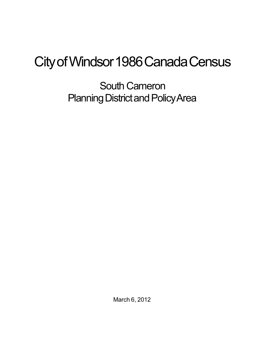## City of Windsor 1986 Canada Census

South Cameron Planning District and Policy Area

March 6, 2012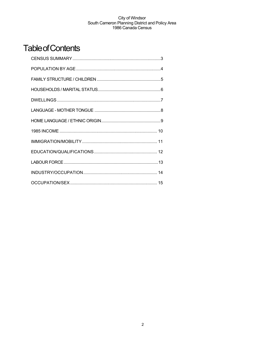## **Table of Contents**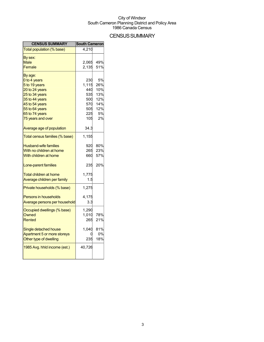## **CENSUS SUMMARY**

| <b>CENSUS SUMMARY</b>                                                                                                                                                     | <b>South Cameron</b>                                          |                                                          |
|---------------------------------------------------------------------------------------------------------------------------------------------------------------------------|---------------------------------------------------------------|----------------------------------------------------------|
| Total population (% base)                                                                                                                                                 | 4,210                                                         |                                                          |
| By sex:<br>Male<br>Female                                                                                                                                                 | 2,065<br>2,135                                                | 49%<br>51%                                               |
| By age:<br>0 to 4 years<br>5 to 19 years<br>20 to 24 years<br>25 to 34 years<br>35 to 44 years<br>45 to 54 years<br>55 to 64 years<br>65 to 74 years<br>75 years and over | 230<br>1,115<br>440<br>535<br>500<br>570<br>505<br>225<br>105 | 5%<br>26%<br>10%<br>13%<br>12%<br>14%<br>12%<br>5%<br>2% |
| Average age of population                                                                                                                                                 | 34.3                                                          |                                                          |
| Total census families (% base)                                                                                                                                            | 1,155                                                         |                                                          |
| <b>Husband-wife families</b><br>With no children at home<br>With children at home                                                                                         | 920<br>265<br>660                                             | 80%<br>23%<br>57%                                        |
| Lone-parent families                                                                                                                                                      | 235                                                           | 20%                                                      |
| <b>Total children at home</b><br>Average children per family                                                                                                              | 1,775<br>1.5                                                  |                                                          |
| Private households (% base)                                                                                                                                               | 1,275                                                         |                                                          |
| <b>Persons in households</b><br>Average persons per household                                                                                                             | 4,175<br>3.3                                                  |                                                          |
| Occupied dwellings (% base)<br>Owned<br>Rented                                                                                                                            | 1,290<br>1,010<br>265                                         | 78%<br>21%                                               |
| Single detached house<br>Apartment 5 or more storeys<br>Other type of dwelling                                                                                            | 1,040<br>235                                                  | 81%<br>0%<br>18%                                         |
| 1985 Avg. hhld income (est.)                                                                                                                                              | 40,726                                                        |                                                          |
|                                                                                                                                                                           |                                                               |                                                          |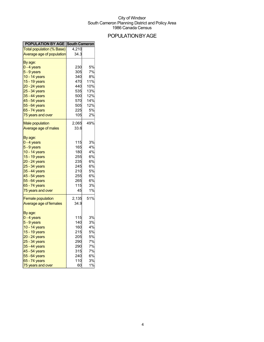## POPULATIONBYAGE

| <b>POPULATION BY AGE South Cameron</b>                                                                                                                                                               |                                                                          |                                                                |
|------------------------------------------------------------------------------------------------------------------------------------------------------------------------------------------------------|--------------------------------------------------------------------------|----------------------------------------------------------------|
| Total population (% Base)                                                                                                                                                                            | 4,210                                                                    |                                                                |
| <b>Average age of population</b>                                                                                                                                                                     | 34.3                                                                     |                                                                |
| By age:<br>$0 - 4$ years<br>$5 - 9$ years<br>10 - 14 years                                                                                                                                           | 230<br>305<br>340                                                        | 5%<br>7%<br>8%                                                 |
| 15 - 19 years<br>20 - 24 years<br>25 - 34 years<br>35 - 44 years<br>45 - 54 years<br>55 - 64 years<br>65 - 74 years<br>75 years and over                                                             | 470<br>440<br>535<br>500<br>570<br>505<br>225<br>105                     | 11%<br>10%<br>13%<br>12%<br>14%<br>12%<br>5%<br>2%             |
| <b>Male population</b><br>Average age of males                                                                                                                                                       | 2,065<br>33.6                                                            | 49%                                                            |
| By age:<br>$0 - 4$ years<br>5 - 9 years<br>10 - 14 years<br>15 - 19 years<br>20 - 24 years<br>25 - 34 years<br>35 - 44 years<br>45 - 54 years<br>55 - 64 years<br>65 - 74 years<br>75 years and over | 115<br>165<br>180<br>255<br>235<br>245<br>210<br>255<br>265<br>115<br>45 | 3%<br>4%<br>4%<br>6%<br>6%<br>6%<br>5%<br>6%<br>6%<br>3%<br>1% |
| <b>Female population</b><br>Average age of females<br>By age:                                                                                                                                        | 2,135<br>34.9                                                            | 51%                                                            |
| $0 - 4$ years<br>$5 - 9$ years<br>10 - 14 years<br>15 - 19 years<br>20 - 24 years<br>25 - 34 years<br>35 - 44 years<br>45 - 54 years<br>55 - 64 years<br>65 - 74 years                               | 115<br>140<br>160<br>215<br>205<br>290<br>290<br>315<br>240<br>110       | 3%<br>3%<br>4%<br>5%<br>5%<br>7%<br>7%<br>7%<br>6%<br>3%       |
| 75 years and over                                                                                                                                                                                    | 60                                                                       | 1%                                                             |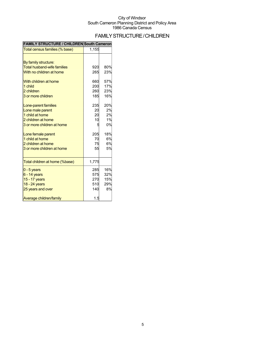## FAMILYSTRUCTURE/CHILDREN

| <b>DIRUUTUR</b><br>IILDREN         | <b>JUULII VAILIEIUI</b> |     |
|------------------------------------|-------------------------|-----|
| Total census families (% base)     | 1,155                   |     |
| By family structure:               |                         |     |
| <b>Total husband-wife families</b> | 920                     | 80% |
| With no children at home           | 265                     | 23% |
| With children at home              | 660                     | 57% |
| 1 child                            | 200                     | 17% |
| 2 children                         | 260                     | 23% |
| 3 or more children                 | 185                     | 16% |
| Lone-parent families               | 235                     | 20% |
| Lone male parent                   | 20                      | 2%  |
| 1 child at home                    | 20                      | 2%  |
| 2 children at home                 | 10                      | 1%  |
| 3 or more children at home         | 5                       | 0%  |
| Lone female parent                 | 205                     | 18% |
| 1 child at home                    | 70                      | 6%  |
| 2 children at home                 | 75                      | 6%  |
| 3 or more children at home         | 55                      | 5%  |
| Total children at home (%base)     | 1,775                   |     |
| $0 - 5$ years                      | 285                     | 16% |
| $6 - 14$ years                     | 575                     | 32% |
| 15 - 17 years                      | 270                     | 15% |
| 18 - 24 years                      | 510                     | 29% |
| 25 years and over                  | 140                     | 8%  |
| Average children/family            | 1.5                     |     |

### **FAMILY STRUCTURE / CHILDREN South Cameron**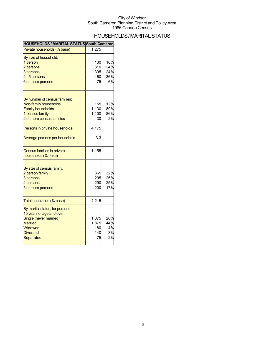## HOUSEHOLDS/MARITALSTATUS

| <b>HOUSEHOLDS / MARITAL STATUS South Cameron</b> |       |     |
|--------------------------------------------------|-------|-----|
| Private households (% base)                      | 1,275 |     |
| By size of household:                            |       |     |
| 1 person                                         | 130   | 10% |
| 2 persons                                        | 310   | 24% |
| 3 persons                                        | 305   | 24% |
| 4 - 5 persons                                    | 460   | 36% |
| 6 or more persons                                | 75    | 6%  |
| By number of census families:                    |       |     |
| Non-family households                            | 155   | 12% |
| <b>Family households</b>                         | 1,130 | 89% |
| 1 census family                                  | 1,100 | 86% |
| 2 or more census families                        | 30    | 2%  |
| Persons in private households                    | 4,175 |     |
| Average persons per household                    | 3.3   |     |
| Census families in private                       | 1,155 |     |
| households (% base)                              |       |     |
| By size of census family:                        |       |     |
| 2 person family                                  | 365   | 32% |
| 3 persons                                        | 295   | 26% |
| 4 persons                                        | 290   | 25% |
| 5 or more persons                                | 200   | 17% |
| Total population (% base)                        | 4,215 |     |
|                                                  |       |     |
| By marital status, for persons                   |       |     |
| 15 years of age and over:                        |       |     |
| Single (never married)                           | 1,075 | 26% |
| <b>Married</b>                                   | 1,875 | 44% |
| Widowed                                          | 180   | 4%  |
| <b>Divorced</b>                                  | 140   | 3%  |
| Separated                                        | 75    | 2%  |
|                                                  |       |     |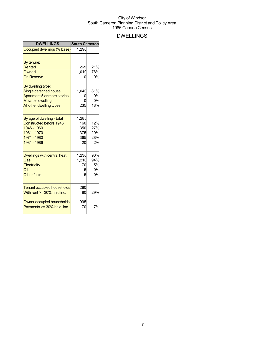## DWELLINGS

| <b>DWELLINGS</b>                                                                                                         | <b>South Cameron</b>                    |                                |
|--------------------------------------------------------------------------------------------------------------------------|-----------------------------------------|--------------------------------|
| Occupied dwellings (% base)                                                                                              | 1,290                                   |                                |
| By tenure:<br><b>Rented</b><br>Owned<br><b>On Reserve</b><br>By dwelling type:<br>Single detached house                  | 265<br>1,010<br>1,040                   | 21%<br>78%<br>0%<br>81%<br>0%  |
| Apartment 5 or more stories<br><b>Movable dwelling</b>                                                                   |                                         | 0%                             |
| All other dwelling types                                                                                                 | 235                                     | 18%                            |
| By age of dwelling - total<br><b>Constructed before 1946</b><br>1946 - 1960<br>1961 - 1970<br>1971 - 1980<br>1981 - 1986 | 1,285<br>160<br>350<br>375<br>365<br>20 | 12%<br>27%<br>29%<br>28%<br>2% |
| <b>Dwellings with central heat</b>                                                                                       | 1,230                                   | 96%                            |
| Gas                                                                                                                      | 1,210                                   | 94%                            |
| Electricity<br>Oil                                                                                                       | 70<br>5                                 | 5%<br>0%                       |
| <b>Other fuels</b>                                                                                                       | 5                                       | 0%                             |
| <b>Tenant occupied households</b><br>With rent $>=$ 30% hhld inc.                                                        | 280<br>80                               | 29%                            |
| Owner occupied households<br>Payments >= 30% hhld. inc.                                                                  | 995<br>70                               | 7%                             |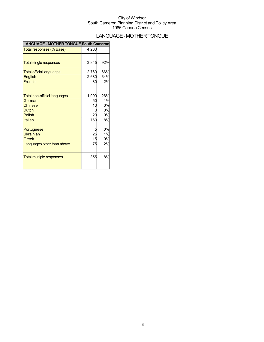## LANGUAGE-MOTHERTONGUE

| LANGUAGE - MOTHER TONGUE South Cameron |  |
|----------------------------------------|--|
|----------------------------------------|--|

| Total responses (% Base)                                                                                    | 4,200                          |                                    |
|-------------------------------------------------------------------------------------------------------------|--------------------------------|------------------------------------|
| <b>Total single responses</b><br><b>Total official languages</b><br><b>English</b><br>French                | 3,845<br>2,760<br>2,680<br>80  | 92%<br>66%<br>64%<br>2%            |
| <b>Total non-official languages</b><br>German<br><b>Chinese</b><br><b>Dutch</b><br><b>Polish</b><br>Italian | 1,090<br>50<br>10<br>20<br>760 | 26%<br>1%<br>0%<br>0%<br>0%<br>18% |
| Portuguese<br>Ukrainian<br>Greek<br>Languages other than above                                              | 25<br>15<br>75                 | 0%<br>1%<br>0%<br>2%               |
| <b>Total multiple responses</b>                                                                             | 355                            | 8%                                 |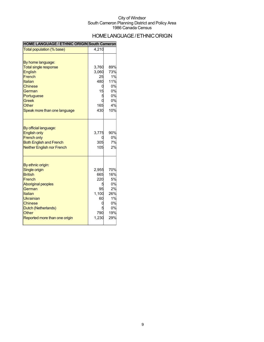## HOME LANGUAGE / ETHNIC ORIGIN

#### **HOME LANGUAGE / ETHNIC ORIGIN South Cameron**

| Total population (% base)                                                                                                                                                                                        | 4,210                                                    |                                                                            |
|------------------------------------------------------------------------------------------------------------------------------------------------------------------------------------------------------------------|----------------------------------------------------------|----------------------------------------------------------------------------|
| By home language:<br><b>Total single response</b><br>English<br>French<br>Italian<br><b>Chinese</b><br>German<br>Portuguese<br>Greek<br>Other<br>Speak more than one language                                    | 3,760<br>3,060<br>25<br>480<br>15<br>Ë<br>165<br>430     | 89%<br>73%<br>1%<br>11%<br>0%<br>0%<br>0%<br>0%<br>4%<br>10%               |
| By official language:<br><b>English only</b><br><b>French only</b><br><b>Both English and French</b><br><b>Neither English nor French</b>                                                                        | 3,775<br>305<br>105                                      | 90%<br>0%<br>7%<br>2%                                                      |
| By ethnic origin:<br><b>Single origin</b><br><b>British</b><br>French<br><b>Aboriginal peoples</b><br>German<br>Italian<br>Ukrainian<br>Chinese<br>Dutch (Netherlands)<br>Other<br>Reported more than one origin | 2,955<br>665<br>220<br>95<br>1,100<br>60<br>790<br>1,230 | <b>70%</b><br>16%<br>5%<br>0%<br>2%<br>26%<br>1%<br>0%<br>0%<br>19%<br>29% |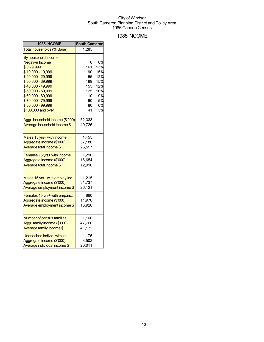### 1985INCOME

| 1985 INCOME                      | <b>South Cameron</b> |     |
|----------------------------------|----------------------|-----|
| Total households (% Base)        | 1,285                |     |
| By household income:             |                      |     |
| <b>Negative Income</b>           |                      | 0%  |
| $$0 - 9,999$                     | 161                  | 13% |
| \$10,000 - 19,999                | 190                  | 15% |
| \$20,000 - 29,999                | 155                  | 12% |
| \$30,000 - 39,999                | 199                  | 15% |
| \$40,000 - 49,999                | 155                  | 12% |
| \$50,000 - 59,999                | 125                  | 10% |
| \$60,000 - 69,999                | 110                  | 9%  |
| \$70,000 - 79,999                | 60                   | 5%  |
| \$80,000 - 99,999                | 80                   | 6%  |
| \$100,000 and over               | 41                   | 3%  |
| Aggr. household income (\$'000)  | 52,333               |     |
| Average household income \$      | 40,726               |     |
|                                  |                      |     |
| Males 15 yrs+ with income        | 1,455                |     |
| Aggregate income (\$'000)        | 37,186               |     |
| Average total income \$          | 25,557               |     |
| Females 15 yrs+ with income      | 1,290                |     |
| Aggregate income (\$'000)        | 16,654               |     |
| Average total income \$          | 12,910               |     |
|                                  |                      |     |
| Males 15 yrs+ with employ.inc    | 1,215                |     |
| Aggregate income (\$'000)        | 31,737               |     |
| Average employment income \$     | 26,121               |     |
| Females 15 yrs+ with emp.inc.    | 860                  |     |
| Aggregate income (\$'000)        | 11,976               |     |
| Average employment income \$     | 13,926               |     |
|                                  |                      |     |
| <b>Number of census families</b> | 1,160                |     |
| Aggr. family income (\$'000)     | 47,760               |     |
| Average family income \$         | 41,172               |     |
| Unattached individ. with inc.    | 175                  |     |
| Aggregate income (\$'000)        | 3,502                |     |
| Average individual income \$     | 20,011               |     |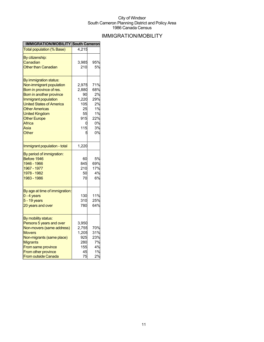## IMMIGRATION/MOBILITY

| <b>IMMIGRATION/MOBILITY South Cameron</b>                                                                                                                                                                                                                                 |                                                                          |                                                                    |
|---------------------------------------------------------------------------------------------------------------------------------------------------------------------------------------------------------------------------------------------------------------------------|--------------------------------------------------------------------------|--------------------------------------------------------------------|
| <b>Total population (% Base)</b>                                                                                                                                                                                                                                          | 4,215                                                                    |                                                                    |
| By citizenship:<br>Canadian<br><b>Other than Canadian</b>                                                                                                                                                                                                                 | 3,985<br>210                                                             | 95%<br>5%                                                          |
| <u>By immigration status:</u><br>Non-immigrant population<br>Born in province of res.<br>Born in another province<br>Immigrant population<br><b>United States of America</b><br><b>Other Americas</b><br>United Kingdom<br><b>Other Europe</b><br>Africa<br>Asia<br>Other | 2,975<br>2,880<br>90<br>1,220<br>105<br>25<br>55<br>915<br>0<br>115<br>5 | 71%<br>68%<br>2%<br>29%<br>2%<br>1%<br>1%<br>22%<br>0%<br>3%<br>0% |
| Immigrant population - total                                                                                                                                                                                                                                              | 1,220                                                                    |                                                                    |
| By period of immigration:<br>Before 1946<br>1946 - 1966<br>1967 - 1977<br>1978 - 1982<br>1983 - 1986                                                                                                                                                                      | 60<br>845<br>210<br>50<br>70                                             | 5%<br>69%<br>17%<br>4%<br>6%                                       |
| By age at time of immigration:<br>0 - 4 years<br>$5 - 19$ years<br>20 years and over                                                                                                                                                                                      | 130<br>310<br>780                                                        | 11%<br>25%<br>64%                                                  |
| By mobility status:<br>Persons 5 years and over<br>Non-movers (same address)<br><b>Movers</b><br>Non-migrants (same place)<br>Migrants<br>From same province<br>From other province<br><b>From outside Canada</b>                                                         | 3,950<br>2,755<br>1,205<br>925<br>280<br>155<br>45<br>75                 | 70%<br>31%<br>23%<br>7%<br>4%<br>1%<br>2%                          |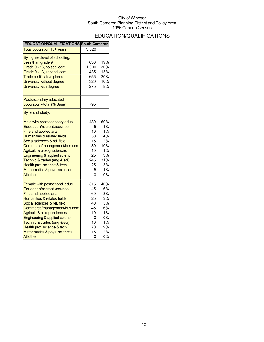## EDUCATION/QUALIFICATIONS

| <b>EDUCATION/QUALIFICATIONS South Cameron</b>         |       |     |
|-------------------------------------------------------|-------|-----|
| Total population 15+ years                            | 3,320 |     |
| By highest level of schooling:<br>Less than grade 9   | 630   | 19% |
| Grade 9 - 13, no sec. cert.                           | 1,000 | 30% |
| Grade 9 - 13, second. cert.                           | 435   | 13% |
| Trade certificate/diploma                             | 655   | 20% |
| University without degree                             | 320   | 10% |
| University with degree                                | 275   | 8%  |
| Postsecondary educated<br>population - total (% Base) | 795   |     |
| By field of study:                                    |       |     |
| Male with postsecondary educ.                         | 480   | 60% |
| Education/recreat./counsell.                          |       | 1%  |
| <b>Fine and applied arts</b>                          | 10    | 1%  |
| Humanities & related fields                           | 30    | 4%  |
| Social sciences & rel. field                          | 15    | 2%  |
| Commerce/management/bus.adm.                          | 80    | 10% |
| Agricult. & biolog. sciences                          | 10    | 1%  |
| Engineering & applied scienc                          | 25    | 3%  |
| Technic.& trades (eng & sci)                          | 245   | 31% |
| Health prof. science & tech.                          | 25    | 3%  |
| Mathematics & phys. sciences                          |       | 1%  |
| <b>All other</b>                                      |       | 0%  |
| Female with postsecond. educ.                         | 315   | 40% |
| Education/recreat./counsell.                          | 45    | 6%  |
| Fine and applied arts                                 | 60    | 8%  |
| Humanities & related fields                           | 25    | 3%  |
| Social sciences & rel. field                          | 40    | 5%  |
| Commerce/management/bus.adm.                          | 45    | 6%  |
| Agricult. & biolog. sciences                          | 10    | 1%  |
| Engineering & applied scienc                          | C     | 0%  |
| Technic.& trades (eng & sci)                          | 10    | 1%  |
| Health prof. science & tech.                          | 70    | 9%  |
| Mathematics & phys. sciences                          | 15    | 2%  |
| All other                                             | 0     | 0%  |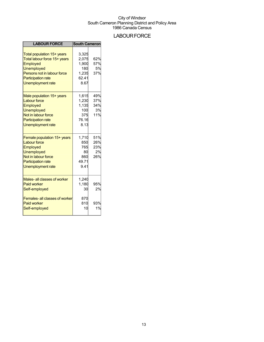## **LABOUR FORCE**

| <b>LABOUR FORCE</b>                                                                                                                                                                 | <b>South Cameron</b>                                     |                                |
|-------------------------------------------------------------------------------------------------------------------------------------------------------------------------------------|----------------------------------------------------------|--------------------------------|
| Total population 15+ years<br>Total labour force 15+ years<br>Employed<br><b>Unemployed</b><br>Persons not in labour force<br><b>Participation rate</b><br><b>Unemployment rate</b> | 3,325<br>2,075<br>1,900<br>180<br>1,235<br>62.41<br>8.67 | 62%<br>57%<br>5%<br>37%        |
| Male population 15+ years<br><b>Labour force</b><br>Employed<br><b>Unemployed</b><br>Not in labour force<br><b>Participation rate</b><br><b>Unemployment rate</b>                   | 1,615<br>1,230<br>1,135<br>100<br>375<br>76.16<br>8.13   | 49%<br>37%<br>34%<br>3%<br>11% |
| Female population 15+ years<br><b>Labour force</b><br>Employed<br><b>Unemployed</b><br>Not in labour force<br><b>Participation rate</b><br><b>Unemployment rate</b>                 | 1,710<br>850<br>765<br>80<br>860<br>49.71<br>9.41        | 51%<br>26%<br>23%<br>2%<br>26% |
| Males- all classes of worker<br><b>Paid worker</b><br>Self-employed                                                                                                                 | 1,240<br>1,180<br>30                                     | 95%<br>2%                      |
| <b>Females-all classes of worker</b><br><b>Paid worker</b><br>Self-employed                                                                                                         | 870<br>810<br>10                                         | 93%<br>1%                      |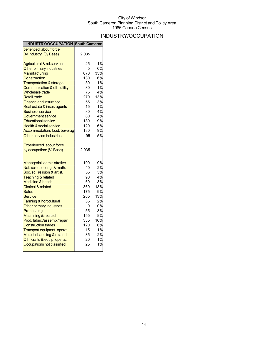## INDUSTRY/OCCUPATION

| <b>INDUSTRY/OCCUPATION South Cameron</b>            |            |           |
|-----------------------------------------------------|------------|-----------|
| perienced labour force                              |            |           |
| By Industry: (% Base)                               | 2,035      |           |
| <b>Agricultural &amp; rel.services</b>              | 25         | 1%        |
| Other primary industries                            | 5          | 0%        |
| Manufacturing                                       | 670        | 33%       |
| <b>Construction</b>                                 | 130        | 6%        |
| <b>Transportation &amp; storage</b>                 | 30         | 1%        |
| Communication & oth. utility                        | 30         | 1%        |
| <b>Wholesale trade</b>                              | 75         | 4%        |
| <b>Retail trade</b>                                 | 270        | 13%       |
| <b>Finance and insurance</b>                        | 55         | 3%        |
| Real estate & insur. agents                         | 15         | 1%        |
| <u>Business service</u>                             | 80         | 4%        |
| Government service                                  | 80         | 4%        |
| <b>Educational service</b>                          | 180        | 9%        |
| <b>Health &amp; social service</b>                  | 120        | 6%        |
| Accommodation, food, beverag                        | 180        | 9%        |
| Other service industries                            | 95         | 5%        |
| Experienced labour force                            |            |           |
| by occupation: (% Base)                             | 2,035      |           |
| Managerial, administrative                          | 190        | 9%        |
|                                                     |            |           |
|                                                     |            |           |
| Nat. science, eng. & math.                          | 40         | 2%        |
| Soc. sc., religion & artist.                        | 55         | 3%        |
| <b>Teaching &amp; related</b>                       | 90         | 4%        |
| <b>Medicine &amp; health</b>                        | 60         | 3%        |
| <b>Clerical &amp; related</b><br>Sales              | 360<br>175 | 18%       |
| Service                                             | 265        | 9%<br>13% |
|                                                     | 35         | 2%        |
| Farming & horticultural<br>Other primary industries | 0          | 0%        |
| Processing                                          | 55         | 3%        |
| Machining & related                                 | 155        | 8%        |
| Prod. fabric./assemb./repair                        | 335        | 16%       |
| <b>Construction trades</b>                          | 120        | 6%        |
| Transport equipmnt. operat.                         | 15         | 1%        |
| Material handling & related                         | 35         | 2%        |
| Oth. crafts & equip. operat.                        | 20         | 1%        |
| Occupations not classified                          | 25         | 1%        |